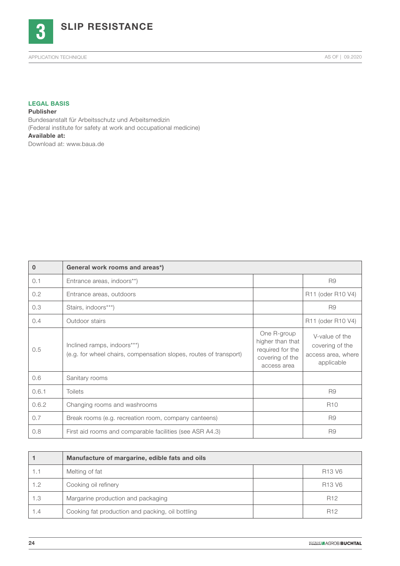

## LEGAL BASIS

Publisher Bundesanstalt für Arbeitsschutz und Arbeitsmedizin (Federal institute for safety at work and occupational medicine) Available at: Download at: www.baua.de

| $\mathbf{0}$ | General work rooms and areas*)                                                                   |                                                                                       |                                                                       |
|--------------|--------------------------------------------------------------------------------------------------|---------------------------------------------------------------------------------------|-----------------------------------------------------------------------|
| 0.1          | Entrance areas, indoors**)                                                                       |                                                                                       | R <sub>9</sub>                                                        |
| 0.2          | Entrance areas, outdoors                                                                         |                                                                                       | R11 (oder R10 V4)                                                     |
| 0.3          | Stairs, indoors***)                                                                              |                                                                                       | R <sub>9</sub>                                                        |
| 0.4          | Outdoor stairs                                                                                   |                                                                                       | R <sub>11</sub> (oder R <sub>10</sub> V <sub>4</sub> )                |
| 0.5          | Inclined ramps, indoors***)<br>(e.g. for wheel chairs, compensation slopes, routes of transport) | One R-group<br>higher than that<br>required for the<br>covering of the<br>access area | V-value of the<br>covering of the<br>access area, where<br>applicable |
| 0.6          | Sanitary rooms                                                                                   |                                                                                       |                                                                       |
| 0.6.1        | <b>Toilets</b>                                                                                   |                                                                                       | R <sub>9</sub>                                                        |
| 0.6.2        | Changing rooms and washrooms                                                                     |                                                                                       | R <sub>10</sub>                                                       |
| 0.7          | Break rooms (e.g. recreation room, company canteens)                                             |                                                                                       | R <sub>9</sub>                                                        |
| 0.8          | First aid rooms and comparable facilities (see ASR A4.3)                                         |                                                                                       | R <sub>9</sub>                                                        |

|     | Manufacture of margarine, edible fats and oils   |                                |
|-----|--------------------------------------------------|--------------------------------|
| 1.1 | Melting of fat                                   | R <sub>13</sub> V <sub>6</sub> |
| 1.2 | Cooking oil refinery                             | R <sub>13</sub> V <sub>6</sub> |
| 1.3 | Margarine production and packaging               | R <sub>12</sub>                |
| 1.4 | Cooking fat production and packing, oil bottling | R <sub>12</sub>                |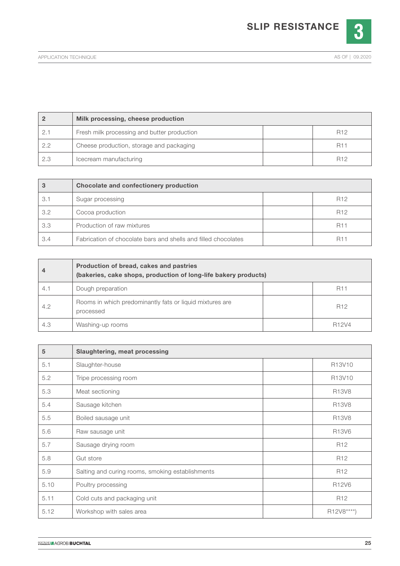

|     | Milk processing, cheese production          |                       |
|-----|---------------------------------------------|-----------------------|
|     | Fresh milk processing and butter production | R <sub>12</sub>       |
| 2.2 | Cheese production, storage and packaging    | <b>R11</b>            |
| 2.3 | Icecream manufacturing                      | <b>R<sub>12</sub></b> |

| 3   | Chocolate and confectionery production                         |                 |
|-----|----------------------------------------------------------------|-----------------|
| 3.1 | Sugar processing                                               | R <sub>12</sub> |
| 3.2 | Cocoa production                                               | R <sub>12</sub> |
| 3.3 | Production of raw mixtures                                     | <b>R11</b>      |
| 3.4 | Fabrication of chocolate bars and shells and filled chocolates | <b>R11</b>      |

|     | Production of bread, cakes and pastries<br>(bakeries, cake shops, production of long-life bakery products) |                    |
|-----|------------------------------------------------------------------------------------------------------------|--------------------|
| 4.1 | Dough preparation                                                                                          | <b>R11</b>         |
| 4.2 | Rooms in which predominantly fats or liquid mixtures are<br>processed                                      | R <sub>12</sub>    |
| 4.3 | Washing-up rooms                                                                                           | R <sub>12</sub> V4 |

| 5    | Slaughtering, meat processing                    |                                 |
|------|--------------------------------------------------|---------------------------------|
| 5.1  | Slaughter-house                                  | R <sub>13</sub> V <sub>10</sub> |
| 5.2  | Tripe processing room                            | R <sub>13</sub> V <sub>10</sub> |
| 5.3  | Meat sectioning                                  | R <sub>13</sub> V <sub>8</sub>  |
| 5.4  | Sausage kitchen                                  | R <sub>13</sub> V <sub>8</sub>  |
| 5.5  | Boiled sausage unit                              | R <sub>13</sub> V <sub>8</sub>  |
| 5.6  | Raw sausage unit                                 | R <sub>13</sub> V <sub>6</sub>  |
| 5.7  | Sausage drying room                              | R <sub>12</sub>                 |
| 5.8  | Gut store                                        | R <sub>12</sub>                 |
| 5.9  | Salting and curing rooms, smoking establishments | R <sub>12</sub>                 |
| 5.10 | Poultry processing                               | R12V6                           |
| 5.11 | Cold cuts and packaging unit                     | R <sub>12</sub>                 |
| 5.12 | Workshop with sales area                         | R12V8****)                      |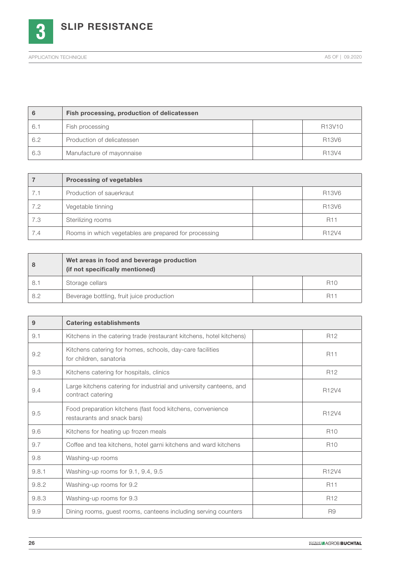

|     | Fish processing, production of delicatessen |                                |
|-----|---------------------------------------------|--------------------------------|
| 6.1 | Fish processing                             | R13V10                         |
| 6.2 | Production of delicatessen                  | R13V6                          |
| 6.3 | Manufacture of mayonnaise                   | R <sub>13</sub> V <sub>4</sub> |

|     | <b>Processing of vegetables</b>                       |                                |
|-----|-------------------------------------------------------|--------------------------------|
| 7.1 | Production of sauerkraut                              | R13V6                          |
| 7.2 | Vegetable tinning                                     | R13V6                          |
| 7.3 | Sterilizing rooms                                     | <b>R11</b>                     |
| 7.4 | Rooms in which vegetables are prepared for processing | R <sub>12</sub> V <sub>4</sub> |

| 8   | Wet areas in food and beverage production<br>(if not specifically mentioned) |            |
|-----|------------------------------------------------------------------------------|------------|
| 8.1 | Storage cellars                                                              | <b>R10</b> |
| 8.2 | Beverage bottling, fruit juice production                                    | <b>R11</b> |

| 9     | <b>Catering establishments</b>                                                            |                 |
|-------|-------------------------------------------------------------------------------------------|-----------------|
| 9.1   | Kitchens in the catering trade (restaurant kitchens, hotel kitchens)                      | R <sub>12</sub> |
| 9.2   | Kitchens catering for homes, schools, day-care facilities<br>for children, sanatoria      | <b>R11</b>      |
| 9.3   | Kitchens catering for hospitals, clinics                                                  | R <sub>12</sub> |
| 9.4   | Large kitchens catering for industrial and university canteens, and<br>contract catering  | R12V4           |
| 9.5   | Food preparation kitchens (fast food kitchens, convenience<br>restaurants and snack bars) | R12V4           |
| 9.6   | Kitchens for heating up frozen meals                                                      | R <sub>10</sub> |
| 9.7   | Coffee and tea kitchens, hotel garni kitchens and ward kitchens                           | <b>R10</b>      |
| 9.8   | Washing-up rooms                                                                          |                 |
| 9.8.1 | Washing-up rooms for 9.1, 9.4, 9.5                                                        | R12V4           |
| 9.8.2 | Washing-up rooms for 9.2                                                                  | <b>R11</b>      |
| 9.8.3 | Washing-up rooms for 9.3                                                                  | R <sub>12</sub> |
| 9.9   | Dining rooms, guest rooms, canteens including serving counters                            | R <sub>9</sub>  |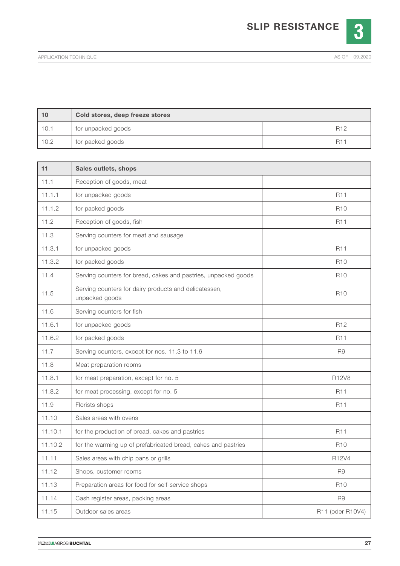

| 10   | Cold stores, deep freeze stores |                 |
|------|---------------------------------|-----------------|
| 10.1 | for unpacked goods              | R <sub>12</sub> |
| 10.2 | for packed goods                | R1'             |

| 11      | Sales outlets, shops                                                    |                  |
|---------|-------------------------------------------------------------------------|------------------|
| 11.1    | Reception of goods, meat                                                |                  |
| 11.1.1  | for unpacked goods                                                      | R <sub>11</sub>  |
| 11.1.2  | for packed goods                                                        | <b>R10</b>       |
| 11.2    | Reception of goods, fish                                                | <b>R11</b>       |
| 11.3    | Serving counters for meat and sausage                                   |                  |
| 11.3.1  | for unpacked goods                                                      | <b>R11</b>       |
| 11.3.2  | for packed goods                                                        | <b>R10</b>       |
| 11.4    | Serving counters for bread, cakes and pastries, unpacked goods          | <b>R10</b>       |
| 11.5    | Serving counters for dairy products and delicatessen,<br>unpacked goods | <b>R10</b>       |
| 11.6    | Serving counters for fish                                               |                  |
| 11.6.1  | for unpacked goods                                                      | R <sub>12</sub>  |
| 11.6.2  | for packed goods                                                        | R11              |
| 11.7    | Serving counters, except for nos. 11.3 to 11.6                          | R <sub>9</sub>   |
| 11.8    | Meat preparation rooms                                                  |                  |
| 11.8.1  | for meat preparation, except for no. 5                                  | <b>R12V8</b>     |
| 11.8.2  | for meat processing, except for no. 5                                   | <b>R11</b>       |
| 11.9    | Florists shops                                                          | <b>R11</b>       |
| 11.10   | Sales areas with ovens                                                  |                  |
| 11.10.1 | for the production of bread, cakes and pastries                         | R11              |
| 11.10.2 | for the warming up of prefabricated bread, cakes and pastries           | R <sub>10</sub>  |
| 11.11   | Sales areas with chip pans or grills                                    | R12V4            |
| 11.12   | Shops, customer rooms                                                   | R9               |
| 11.13   | Preparation areas for food for self-service shops                       | R <sub>10</sub>  |
| 11.14   | Cash register areas, packing areas                                      | R9               |
| 11.15   | Outdoor sales areas                                                     | R11 (oder R10V4) |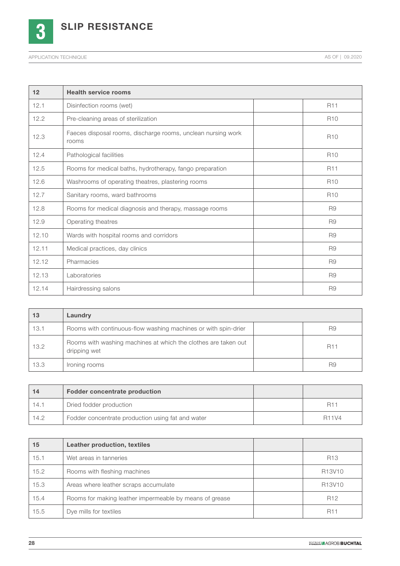

SLIP RESISTANCE

| 12    | <b>Health service rooms</b>                                           |                 |
|-------|-----------------------------------------------------------------------|-----------------|
| 12.1  | Disinfection rooms (wet)                                              | <b>R11</b>      |
| 12.2  | Pre-cleaning areas of sterilization                                   | R <sub>10</sub> |
| 12.3  | Faeces disposal rooms, discharge rooms, unclean nursing work<br>rooms | R <sub>10</sub> |
| 12.4  | Pathological facilities                                               | <b>R10</b>      |
| 12.5  | Rooms for medical baths, hydrotherapy, fango preparation              | <b>R11</b>      |
| 12.6  | Washrooms of operating theatres, plastering rooms                     | R <sub>10</sub> |
| 12.7  | Sanitary rooms, ward bathrooms                                        | R <sub>10</sub> |
| 12.8  | Rooms for medical diagnosis and therapy, massage rooms                | R <sub>9</sub>  |
| 12.9  | Operating theatres                                                    | R <sub>9</sub>  |
| 12.10 | Wards with hospital rooms and corridors                               | R <sub>9</sub>  |
| 12.11 | Medical practices, day clinics                                        | R <sub>9</sub>  |
| 12.12 | Pharmacies                                                            | R <sub>9</sub>  |
| 12.13 | aboratories                                                           | R <sub>9</sub>  |
| 12.14 | Hairdressing salons                                                   | R <sub>9</sub>  |

| 13   | Laundry                                                                        |            |
|------|--------------------------------------------------------------------------------|------------|
| 13.1 | Rooms with continuous-flow washing machines or with spin-drier                 | R9         |
| 13.2 | Rooms with washing machines at which the clothes are taken out<br>dripping wet | <b>R11</b> |
| 13.3 | Ironing rooms                                                                  | R9         |

| 14   | <b>Fodder concentrate production</b>              |              |
|------|---------------------------------------------------|--------------|
| 14.1 | Dried fodder production                           | <b>R11</b>   |
| 14.2 | Fodder concentrate production using fat and water | <b>R11V4</b> |

| 15   | <b>Leather production, textiles</b>                     |                                 |
|------|---------------------------------------------------------|---------------------------------|
| 15.1 | Wet areas in tanneries                                  | R <sub>13</sub>                 |
| 15.2 | Rooms with fleshing machines                            | R13V10                          |
| 15.3 | Areas where leather scraps accumulate                   | R <sub>13</sub> V <sub>10</sub> |
| 15.4 | Rooms for making leather impermeable by means of grease | R <sub>12</sub>                 |
| 15.5 | Dye mills for textiles                                  | <b>R11</b>                      |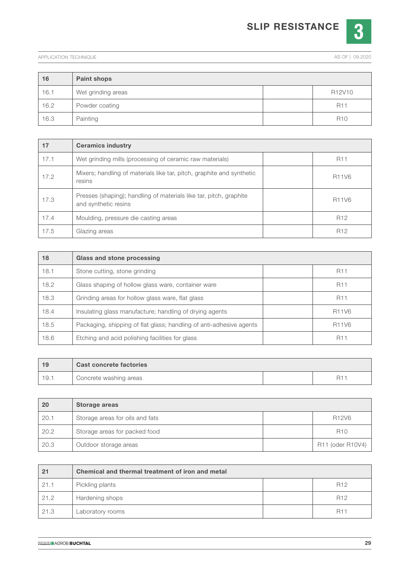## SLIP RESISTANCE



| 16   | <b>Paint shops</b> |                                 |
|------|--------------------|---------------------------------|
| 16.1 | Wet grinding areas | R <sub>12</sub> V <sub>10</sub> |
| 16.2 | Powder coating     | <b>R11</b>                      |
| 16.3 | Painting           | <b>R10</b>                      |

| 17   | <b>Ceramics industry</b>                                                                   |                                |
|------|--------------------------------------------------------------------------------------------|--------------------------------|
| 17.1 | Wet grinding mills (processing of ceramic raw materials)                                   | <b>R11</b>                     |
| 17.2 | Mixers; handling of materials like tar, pitch, graphite and synthetic<br>resins            | R <sub>11</sub> V <sub>6</sub> |
| 17.3 | Presses (shaping); handling of materials like tar, pitch, graphite<br>and synthetic resins | R <sub>11</sub> V <sub>6</sub> |
| 17.4 | Moulding, pressure die casting areas                                                       | R <sub>12</sub>                |
| 17.5 | Glazing areas                                                                              | R <sub>12</sub>                |

| 18   | Glass and stone processing                                          |                                |
|------|---------------------------------------------------------------------|--------------------------------|
| 18.1 | Stone cutting, stone grinding                                       | <b>R11</b>                     |
| 18.2 | Glass shaping of hollow glass ware, container ware                  | <b>R11</b>                     |
| 18.3 | Grinding areas for hollow glass ware, flat glass                    | <b>R11</b>                     |
| 18.4 | Insulating glass manufacture; handling of drying agents             | R <sub>11</sub> V <sub>6</sub> |
| 18.5 | Packaging, shipping of flat glass; handling of anti-adhesive agents | <b>R11V6</b>                   |
| 18.6 | Etching and acid polishing facilities for glass                     | <b>R11</b>                     |

| 19    | <b>Cast concrete factories</b> |  |
|-------|--------------------------------|--|
| -19.1 | Concrete washing areas         |  |

| 20   | Storage areas                   |                                |
|------|---------------------------------|--------------------------------|
| 20.1 | Storage areas for oils and fats | R <sub>12</sub> V <sub>6</sub> |
| 20.2 | Storage areas for packed food   | R <sub>10</sub>                |
| 20.3 | Outdoor storage areas           | R11 (oder R10V4)               |

| 21   | Chemical and thermal treatment of iron and metal |                 |
|------|--------------------------------------------------|-----------------|
| 21.1 | Pickling plants                                  | R <sub>12</sub> |
| 21.2 | Hardening shops                                  | R <sub>12</sub> |
| 21.3 | Laboratory rooms                                 | <b>R11</b>      |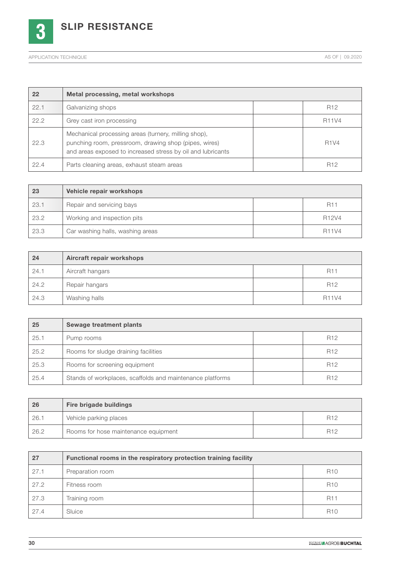

SLIP RESISTANCE

| 22   | Metal processing, metal workshops                                                                                                                                            |                 |
|------|------------------------------------------------------------------------------------------------------------------------------------------------------------------------------|-----------------|
| 22.1 | Galvanizing shops                                                                                                                                                            | R <sub>12</sub> |
| 22.2 | Grey cast iron processing                                                                                                                                                    | R11V4           |
| 22.3 | Mechanical processing areas (turnery, milling shop),<br>punching room, pressroom, drawing shop (pipes, wires)<br>and areas exposed to increased stress by oil and lubricants | <b>R1V4</b>     |
| 22.4 | Parts cleaning areas, exhaust steam areas                                                                                                                                    | R <sub>12</sub> |

| 23   | Vehicle repair workshops         |                                |
|------|----------------------------------|--------------------------------|
| 23.1 | Repair and servicing bays        | <b>R11</b>                     |
| 23.2 | Working and inspection pits      | R <sub>12</sub> V <sub>4</sub> |
| 23.3 | Car washing halls, washing areas | <b>R11V4</b>                   |

| 24   | Aircraft repair workshops |                 |
|------|---------------------------|-----------------|
| 24.1 | Aircraft hangars          | <b>R11</b>      |
| 24.2 | Repair hangars            | R <sub>12</sub> |
| 24.3 | Washing halls             | <b>R11V4</b>    |

| 25   | Sewage treatment plants                                   |                 |
|------|-----------------------------------------------------------|-----------------|
| 25.1 | Pump rooms                                                | R <sub>12</sub> |
| 25.2 | Rooms for sludge draining facilities                      | R <sub>12</sub> |
| 25.3 | Rooms for screening equipment                             | R <sub>12</sub> |
| 25.4 | Stands of workplaces, scaffolds and maintenance platforms | R <sub>12</sub> |

| 26   | Fire brigade buildings               |                 |
|------|--------------------------------------|-----------------|
| 26.1 | Vehicle parking places               | R <sub>12</sub> |
| 26.2 | Rooms for hose maintenance equipment | <b>R12</b>      |

| 27   | Functional rooms in the respiratory protection training facility |  |                 |
|------|------------------------------------------------------------------|--|-----------------|
| 27.1 | Preparation room                                                 |  | R <sub>10</sub> |
| 27.2 | Fitness room                                                     |  | <b>R10</b>      |
| 27.3 | Training room                                                    |  | <b>R11</b>      |
| 27.4 | Sluice                                                           |  | <b>R10</b>      |